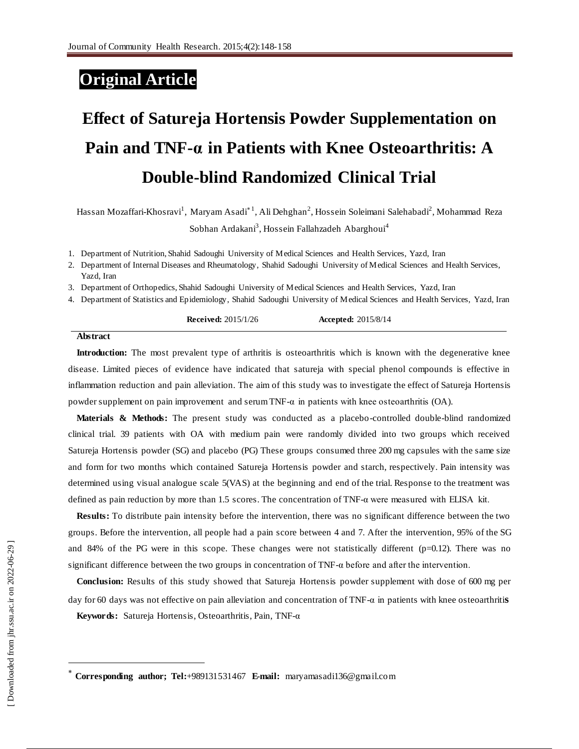## **Original Article**

# **Effect of Satureja Hortensis Powder Supplementation on Pain and TNF-α in Patients with Knee Osteoarthritis: A Double-blind Randomized Clinical Trial**

Hassan Mozaffari-Khosravi<sup>1</sup>, Maryam Asadi $^*$ <sup>1</sup>, Ali Dehghan<sup>2</sup>, Hossein Soleimani Salehabadi<sup>2</sup>, Mohammad Reza Sobhan Ardakani<sup>3</sup>, Hossein Fallahzadeh Abarghoui<sup>4</sup>

1. Department of Nutrition, Shahid Sadoughi University of Medical Sciences and Health Services, Yazd, Iran

2. Department of Internal Diseases and Rheumatology, Shahid Sadoughi University of Medical Sciences and Health Services, Yazd, Iran

3. Department of Orthopedics, Shahid Sadoughi University of Medical Sciences and Health Services, Yazd, Iran

4. Department of Statistics and Epidemiology, Shahid Sadoughi University of Medical Sciences and Health Services, Yazd, Iran

**Received:** 2015/1/26 **Accepted:** 2015/8/14

#### **Abstract**

**Introduction:** The most prevalent type of arthritis is osteoarthritis which is known with the degenerative knee disease. Limited pieces of evidence have indicated that satureja with special phenol compounds is effective in inflammation reduction and pain alleviation. The aim of this study was to investigate the effect of Satureja Hortensis powder supplement on pain improvement and serum TNF-α in patients with knee osteoarthritis (OA).

**Materials & Methods:** The present study was conducted as a placebo-controlled double-blind randomized clinical trial. 39 patients with OA with medium pain were randomly divided into two groups which received Satureja Hortensis powder (SG) and placebo (PG) These groups consumed three 200 mg capsules with the same size and form for two months which contained Satureja Hortensis powder and starch, respectively. Pain intensity was determined using visual analogue scale 5(VAS) at the beginning and end of the trial. Response to the treatment was defined as pain reduction by more than 1.5 scores. The concentration of TNF-α were measured with ELISA kit.

**Results:** To distribute pain intensity before the intervention, there was no significant difference between the two groups. Before the intervention, all people had a pain score between 4 and 7. After the intervention, 95% of the SG and 84% of the PG were in this scope. These changes were not statistically different ( $p=0.12$ ). There was no significant difference between the two groups in concentration of TNF-α before and after the intervention.

**Conclusion:** Results of this study showed that Satureja Hortensis powder supplement with dose of 600 mg per day for 60 days was not effective on pain alleviation and concentration of TNF-α in patients with knee osteoarthriti**s**

**Keywords:** Satureja Hortensis, Osteoarthritis, Pain, TNF-α

 $\overline{a}$ 

**Corresponding author; Tel:**[+989](Tel:+98)131531467 **E-mail:** maryamasadi136@gmail.com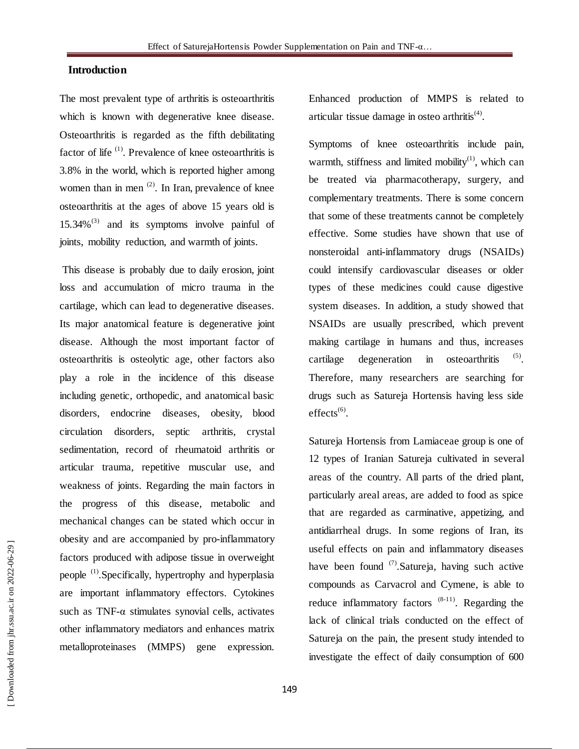### **Introduction**

The most prevalent type of arthritis is osteoarthritis which is known with degenerative knee disease. Osteoarthritis is regarded as the fifth debilitating factor of life <sup>(1)</sup>. Prevalence of knee osteoarthritis is 3.8% in the world, which is reported higher among women than in men  $(2)$ . In Iran, prevalence of knee osteoarthritis at the ages of above 15 years old is  $15.34\%$ <sup>(3)</sup> and its symptoms involve painful of joints, mobility reduction, and warmth of joints.

This disease is probably due to daily erosion, joint loss and accumulation of micro trauma in the cartilage, which can lead to degenerative diseases. Its major anatomical feature is degenerative joint disease. Although the most important factor of osteoarthritis is osteolytic age, other factors also play a role in the incidence of this disease including genetic, orthopedic, and anatomical basic disorders, endocrine diseases, obesity, blood circulation disorders, septic arthritis, crystal sedimentation, record of rheumatoid arthritis or articular trauma, repetitive muscular use, and weakness of joints. Regarding the main factors in the progress of this disease, metabolic and mechanical changes can be stated which occur in obesity and are accompanied by pro-inflammatory factors produced with adipose tissue in overweight people <sup>(1)</sup>. Specifically, hypertrophy and hyperplasia are important inflammatory effectors. Cytokines such as  $TNF-\alpha$  stimulates synovial cells, activates other inflammatory mediators and enhances matrix metalloproteinases (MMPS) gene expression.

Enhanced production of MMPS is related to articular tissue damage in osteo arthritis $(4)$ .

Symptoms of knee osteoarthritis include pain, warmth, stiffness and limited mobility $(1)$ , which can be treated via pharmacotherapy, surgery, and complementary treatments. There is some concern that some of these treatments cannot be completely effective. Some studies have shown that use of nonsteroidal anti-inflammatory drugs (NSAIDs) could intensify cardiovascular diseases or older types of these medicines could cause digestive system diseases. In addition, a study showed that NSAIDs are usually prescribed, which prevent making cartilage in humans and thus, increases cartilage degeneration in osteoarthritis . Therefore, many researchers are searching for drugs such as Satureja Hortensis having less side  $effects<sup>(6)</sup>.$ 

Satureja Hortensis from Lamiaceae group is one of 12 types of Iranian Satureja cultivated in several areas of the country. All parts of the dried plant, particularly areal areas, are added to food as spice that are regarded as carminative, appetizing, and antidiarrheal drugs. In some regions of Iran, its useful effects on pain and inflammatory diseases have been found  $(7)$ . Satureja, having such active compounds as Carvacrol and Cymene, is able to reduce inflammatory factors  $(8-11)$ . Regarding the lack of clinical trials conducted on the effect of Satureja on the pain, the present study intended to investigate the effect of daily consumption of 600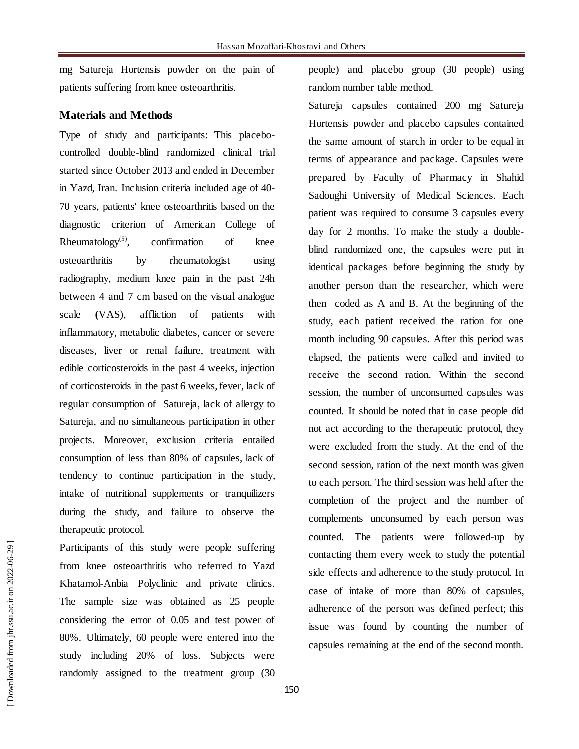mg Satureja Hortensis powder on the pain of patients suffering from knee osteoarthritis.

#### **Materials and Methods**

Type of study and participants: This placebocontrolled double-blind randomized clinical trial started since October 2013 and ended in December in Yazd, Iran. Inclusion criteria included age of 40- 70 years, patients' knee osteoarthritis based on the diagnostic criterion of American College of Rheumatology<sup> $(5)$ </sup>, , confirmation of knee osteoarthritis by rheumatologist using radiography, medium knee pain in the past 24h between 4 and 7 cm based on the visual analogue scale **(**VAS), affliction of patients with inflammatory, metabolic diabetes, cancer or severe diseases, liver or renal failure, treatment with edible corticosteroids in the past 4 weeks, injection of corticosteroids in the past 6 weeks, fever, lack of regular consumption of Satureja, lack of allergy to Satureja, and no simultaneous participation in other projects. Moreover, exclusion criteria entailed consumption of less than 80% of capsules, lack of tendency to continue participation in the study, intake of nutritional supplements or tranquilizers during the study, and failure to observe the therapeutic protocol.

Participants of this study were people suffering from knee osteoarthritis who referred to Yazd Khatamol-Anbia Polyclinic and private clinics. The sample size was obtained as 25 people considering the error of 0.05 and test power of 80%. Ultimately, 60 people were entered into the study including 20% of loss. Subjects were randomly assigned to the treatment group (30 people) and placebo group (30 people) using random number table method.

Satureja capsules contained 200 mg Satureja Hortensis powder and placebo capsules contained the same amount of starch in order to be equal in terms of appearance and package. Capsules were prepared by Faculty of Pharmacy in Shahid Sadoughi University of Medical Sciences. Each patient was required to consume 3 capsules every day for 2 months. To make the study a doubleblind randomized one, the capsules were put in identical packages before beginning the study by another person than the researcher, which were then coded as A and B. At the beginning of the study, each patient received the ration for one month including 90 capsules. After this period was elapsed, the patients were called and invited to receive the second ration. Within the second session, the number of unconsumed capsules was counted. It should be noted that in case people did not act according to the therapeutic protocol, they were excluded from the study. At the end of the second session, ration of the next month was given to each person. The third session was held after the completion of the project and the number of complements unconsumed by each person was counted. The patients were followed-up by contacting them every week to study the potential side effects and adherence to the study protocol. In case of intake of more than 80% of capsules, adherence of the person was defined perfect; this issue was found by counting the number of capsules remaining at the end of the second month.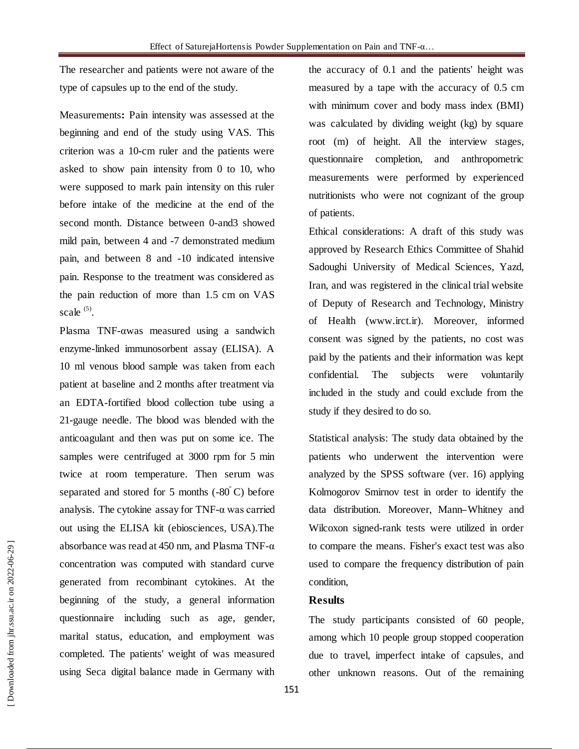The researcher and patients were not aware of the type of capsules up to the end of the study.

Measurements**:** Pain intensity was assessed at the beginning and end of the study using VAS. This criterion was a 10-cm ruler and the patients were asked to show pain intensity from 0 to 10, who were supposed to mark pain intensity on this ruler before intake of the medicine at the end of the second month. Distance between 0-and3 showed mild pain, between 4 and -7 demonstrated medium pain, and between 8 and -10 indicated intensive pain. Response to the treatment was considered as the pain reduction of more than 1.5 cm on VAS scale  $(5)$ .

Plasma TNF-αwas measured using a sandwich enzyme-linked immunosorbent assay (ELISA). A 10 ml venous blood sample was taken from each patient at baseline and 2 months after treatment via an EDTA-fortified blood collection tube using a 21-gauge needle. The blood was blended with the anticoagulant and then was put on some ice. The samples were centrifuged at 3000 rpm for 5 min twice at room temperature. Then serum was separated and stored for 5 months  $(-80^{\circ}C)$  before analysis. The cytokine assay for TNF-α was carried out using the ELISA kit (ebiosciences, USA).The absorbance was read at 450 nm, and Plasma TNF-α concentration was computed with standard curve generated from recombinant cytokines. At the beginning of the study, a general information questionnaire including such as age, gender, marital status, education, and employment was completed. The patients' weight of was measured using Seca digital balance made in Germany with the accuracy of 0.1 and the patients' height was measured by a tape with the accuracy of 0.5 cm with minimum cover and body mass index (BMI) was calculated by dividing weight (kg) by square root (m) of height. All the interview stages, questionnaire completion, and anthropometric measurements were performed by experienced nutritionists who were not cognizant of the group of patients.

Ethical considerations: A draft of this study was approved by Research Ethics Committee of Shahid Sadoughi University of Medical Sciences, Yazd, Iran, and was registered in the clinical trial website of Deputy of Research and Technology, Ministry of Health [\(www.irct.ir\)](http://www.irct.ir/). Moreover, informed consent was signed by the patients, no cost was paid by the patients and their information was kept confidential. The subjects were voluntarily included in the study and could exclude from the study if they desired to do so.

Statistical analysis: The study data obtained by the patients who underwent the intervention were analyzed by the SPSS software (ver. 16) applying Kolmogorov Smirnov test in order to identify the data distribution. Moreover, Mann**–**Whitney and Wilcoxon signed-rank tests were utilized in order to compare the means. Fisher's exact test was also used to compare the frequency distribution of pain condition,

#### **Results**

The study participants consisted of 60 people, among which 10 people group stopped cooperation due to travel, imperfect intake of capsules, and other unknown reasons. Out of the remaining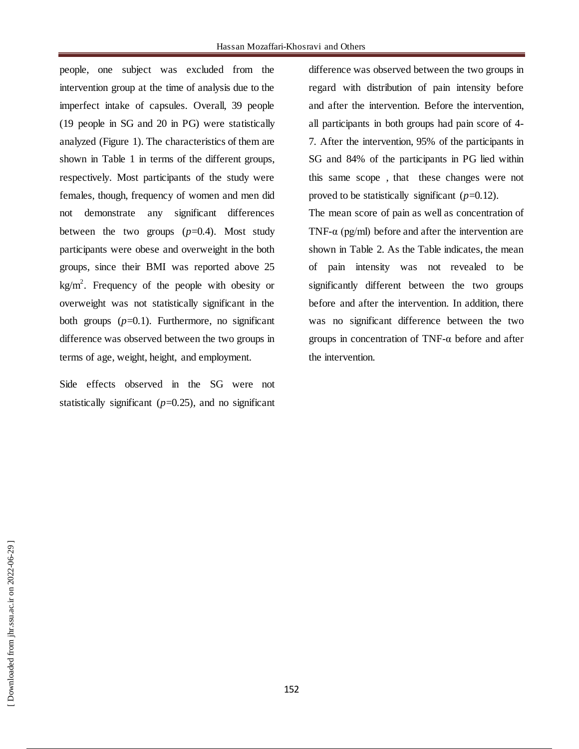people, one subject was excluded from the intervention group at the time of analysis due to the imperfect intake of capsules. Overall, 39 people (19 people in SG and 20 in PG) were statistically analyzed (Figure 1). The characteristics of them are shown in Table 1 in terms of the different groups, respectively. Most participants of the study were females, though, frequency of women and men did not demonstrate any significant differences between the two groups  $(p=0.4)$ . Most study participants were obese and overweight in the both groups, since their BMI was reported above 25  $kg/m<sup>2</sup>$ . Frequency of the people with obesity or overweight was not statistically significant in the both groups  $(p=0.1)$ . Furthermore, no significant difference was observed between the two groups in terms of age, weight, height, and employment.

Side effects observed in the SG were not statistically significant  $(p=0.25)$ , and no significant difference was observed between the two groups in regard with distribution of pain intensity before and after the intervention. Before the intervention, all participants in both groups had pain score of 4- 7. After the intervention, 95% of the participants in SG and 84% of the participants in PG lied within this same scope , that these changes were not proved to be statistically significant  $(p=0.12)$ .

The mean score of pain as well as concentration of TNF- $\alpha$  (pg/ml) before and after the intervention are shown in Table 2. As the Table indicates, the mean of pain intensity was not revealed to be significantly different between the two groups before and after the intervention. In addition, there was no significant difference between the two groups in concentration of TNF-α before and after the intervention.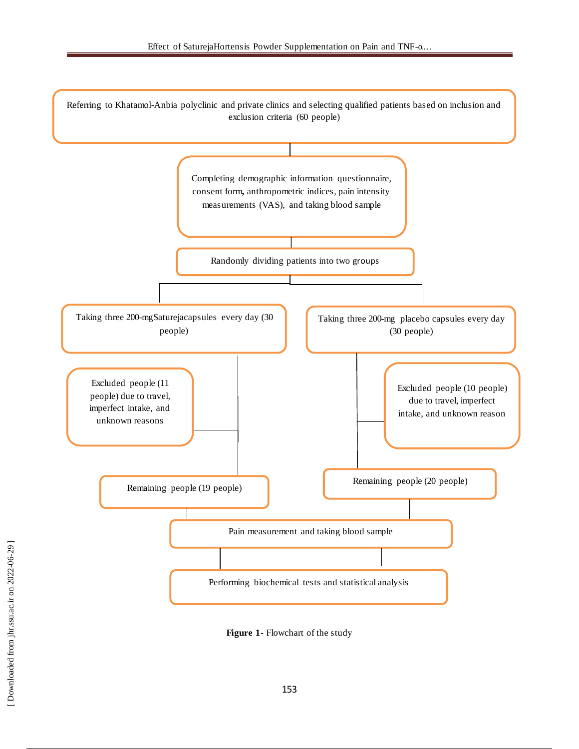

**Figure 1**- Flowchart of the study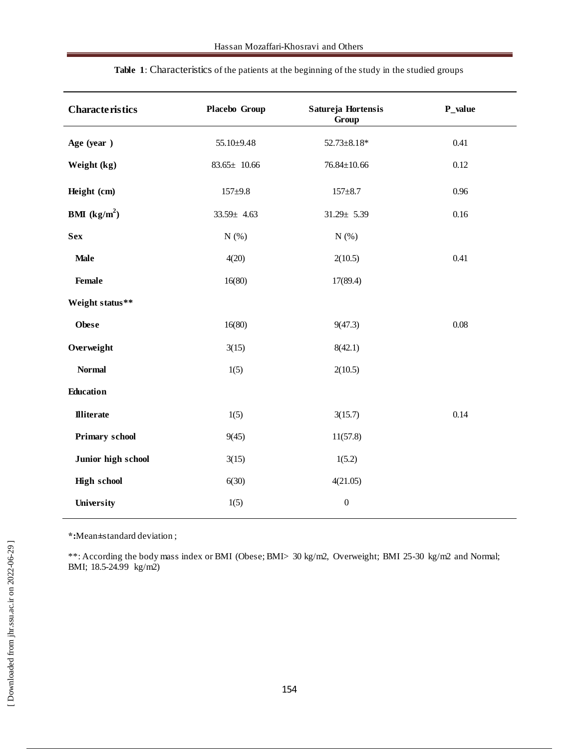| <b>Characteristics</b> | Placebo Group     | Satureja Hortensis<br>Group | $P_$ value |
|------------------------|-------------------|-----------------------------|------------|
| Age (year)             | 55.10±9.48        | $52.73 \pm 8.18*$           | 0.41       |
| Weight (kg)            | $83.65 \pm 10.66$ | $76.84 \pm 10.66$           | 0.12       |
| Height (cm)            | $157 + 9.8$       | $157 + 8.7$                 | 0.96       |
| <b>BMI</b> $(kg/m^2)$  | $33.59 \pm 4.63$  | $31.29 \pm 5.39$            | 0.16       |
| <b>Sex</b>             | N(%)              | N(%)                        |            |
| <b>Male</b>            | 4(20)             | 2(10.5)                     | 0.41       |
| <b>Female</b>          | 16(80)            | 17(89.4)                    |            |
| Weight status**        |                   |                             |            |
| <b>Obese</b>           | 16(80)            | 9(47.3)                     | $0.08\,$   |
| Overweight             | 3(15)             | 8(42.1)                     |            |
| <b>Normal</b>          | 1(5)              | 2(10.5)                     |            |
| Education              |                   |                             |            |
| <b>Illiterate</b>      | 1(5)              | 3(15.7)                     | 0.14       |
| <b>Primary school</b>  | 9(45)             | 11(57.8)                    |            |
| Junior high school     | 3(15)             | 1(5.2)                      |            |
| <b>High school</b>     | 6(30)             | 4(21.05)                    |            |
| University             | 1(5)              | $\boldsymbol{0}$            |            |

**Table 1**: Characteristics of the patients at the beginning of the study in the studied groups

**\*:**Mean**±**standard deviation ;

\*\*: According the body mass index or BMI (Obese; BMI> 30 kg/m2, Overweight; BMI 25-30 kg/m2 and Normal; BMI; 18.5-24.99 kg/m2)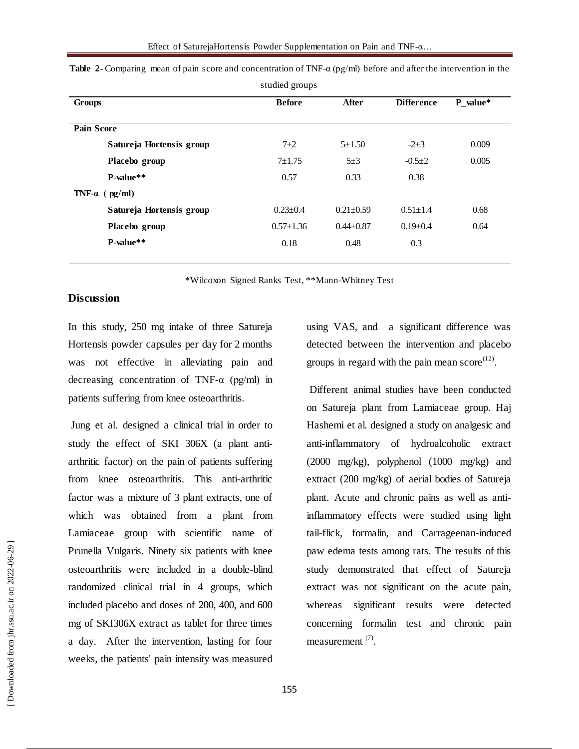|                          | ັ               |                 |                   |          |
|--------------------------|-----------------|-----------------|-------------------|----------|
| Groups                   | <b>Before</b>   | After           | <b>Difference</b> | P value* |
| <b>Pain Score</b>        |                 |                 |                   |          |
|                          |                 |                 |                   |          |
| Satureja Hortensis group | $7+2$           | $5 \pm 1.50$    | $-2+3$            | 0.009    |
| Placebo group            | $7 + 1.75$      | $5\pm3$         | $-0.5+2$          | 0.005    |
| P-value**                | 0.57            | 0.33            | 0.38              |          |
| TNF- $\alpha$ (pg/ml)    |                 |                 |                   |          |
| Satureja Hortensis group | $0.23 + 0.4$    | $0.21 \pm 0.59$ | $0.51 \pm 1.4$    | 0.68     |
| Placebo group            | $0.57 \pm 1.36$ | $0.44 \pm 0.87$ | $0.19 \pm 0.4$    | 0.64     |
| P-value**                | 0.18            | 0.48            | 0.3               |          |
|                          |                 |                 |                   |          |

**Table 2-** Comparing mean of pain score and concentration of TNF-α (pg/ml) before and after the intervention in the studied groups

\*Wilcoxon Signed Ranks Test, \*\*Mann-Whitney Test

#### **Discussion**

In this study, 250 mg intake of three Satureja Hortensis powder capsules per day for 2 months was not effective in alleviating pain and decreasing concentration of TNF-α (pg/ml) in patients suffering from knee osteoarthritis.

Jung et al. designed a clinical trial in order to study the effect of SKI 306X (a plant antiarthritic factor) on the pain of patients suffering from knee osteoarthritis. This anti-arthritic factor was a mixture of 3 plant extracts, one of which was obtained from a plant from Lamiaceae group with scientific name of Prunella Vulgaris. Ninety six patients with knee osteoarthritis were included in a double-blind randomized clinical trial in 4 groups, which included placebo and doses of 200, 400, and 600 mg of SKI306X extract as tablet for three times a day. After the intervention, lasting for four weeks, the patients' pain intensity was measured

using VAS, and a significant difference was detected between the intervention and placebo groups in regard with the pain mean  $score^{(12)}$ .

Different animal studies have been conducted on Satureja plant from Lamiaceae group. Haj Hashemi et al. designed a study on analgesic and anti-inflammatory of hydroalcoholic extract (2000 mg/kg), polyphenol (1000 mg/kg) and extract (200 mg/kg) of aerial bodies of Satureja plant. Acute and chronic pains as well as antiinflammatory effects were studied using light tail-flick, formalin, and Carrageenan-induced paw edema tests among rats. The results of this study demonstrated that effect of Satureja extract was not significant on the acute pain, whereas significant results were detected concerning formalin test and chronic pain measurement<sup>(7)</sup>.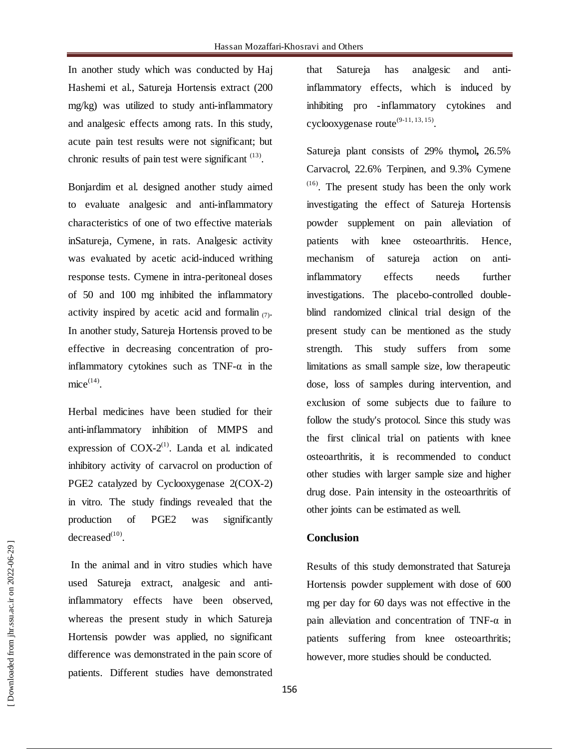In another study which was conducted by Haj Hashemi et al., Satureja Hortensis extract (200 mg/kg) was utilized to study anti-inflammatory and analgesic effects among rats. In this study, acute pain test results were not significant; but chronic results of pain test were significant  $(13)$ .

Bonjardim et al. designed another study aimed to evaluate analgesic and anti-inflammatory characteristics of one of two effective materials inSatureja, Cymene, in rats. Analgesic activity was evaluated by acetic acid-induced writhing response tests. Cymene in intra-peritoneal doses of 50 and 100 mg inhibited the inflammatory activity inspired by acetic acid and formalin  $(7)$ . In another study, Satureja Hortensis proved to be effective in decreasing concentration of proinflammatory cytokines such as  $TNF-\alpha$  in the  $mice^{(14)}$ .

Herbal medicines have been studied for their anti-inflammatory inhibition of MMPS and expression of  $COX-2<sup>(1)</sup>$ . Landa et al. indicated inhibitory activity of carvacrol on production of PGE2 catalyzed by Cyclooxygenase 2(COX-2) in vitro. The study findings revealed that the production of PGE2 was significantly  $\text{decreased}^{(10)}$ .

In the animal and in vitro studies which have used Satureja extract, analgesic and antiinflammatory effects have been observed, whereas the present study in which Satureja Hortensis powder was applied, no significant difference was demonstrated in the pain score of patients. Different studies have demonstrated

that Satureja has analgesic and antiinflammatory effects, which is induced by inhibiting pro -inflammatory cytokines and cyclooxygenase route $^{(9-11, 13, 15)}$ .

Satureja plant consists of 29% thymol**,** 26.5% Carvacrol, 22.6% Terpinen, and 9.3% Cymene  $<sup>(16)</sup>$ . The present study has been the only work</sup> investigating the effect of Satureja Hortensis powder supplement on pain alleviation of patients with knee osteoarthritis. Hence, mechanism of satureja action on antiinflammatory effects needs further investigations. The placebo-controlled doubleblind randomized clinical trial design of the present study can be mentioned as the study strength. This study suffers from some limitations as small sample size, low therapeutic dose, loss of samples during intervention, and exclusion of some subjects due to failure to follow the study's protocol. Since this study was the first clinical trial on patients with knee osteoarthritis, it is recommended to conduct other studies with larger sample size and higher drug dose. Pain intensity in the osteoarthritis of other joints can be estimated as well.

#### **Conclusion**

Results of this study demonstrated that Satureja Hortensis powder supplement with dose of 600 mg per day for 60 days was not effective in the pain alleviation and concentration of TNF-α in patients suffering from knee osteoarthritis; however, more studies should be conducted.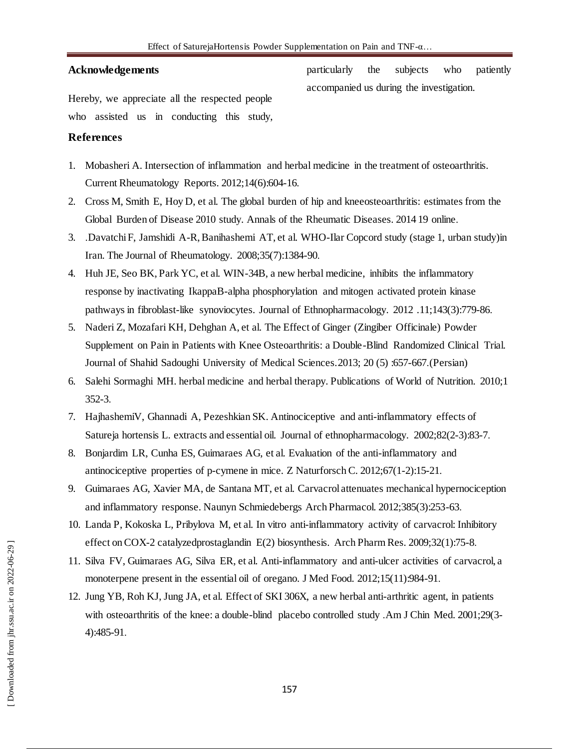#### **Acknowledgements**

Hereby, we appreciate all the respected people who assisted us in conducting this study, particularly the subjects who patiently accompanied us during the investigation.

#### **References**

- 1. Mobasheri A. Intersection of inflammation and herbal medicine in the treatment of osteoarthritis. Current Rheumatology Reports. 2012;14(6):604-16.
- 2. Cross M, Smith E, Hoy D, et al. The global burden of hip and kneeosteoarthritis: estimates from the Global Burden of Disease 2010 study. Annals of the Rheumatic Diseases. 2014 19 online.
- 3. .Davatchi F, Jamshidi A-R, Banihashemi AT, et al. WHO-Ilar Copcord study (stage 1, urban study)in Iran. The Journal of Rheumatology. 2008;35(7):1384-90.
- 4. Huh JE, Seo BK, Park YC, et al. WIN-34B, a new herbal medicine, inhibits the inflammatory response by inactivating IkappaB-alpha phosphorylation and mitogen activated protein kinase pathways in fibroblast-like synoviocytes. Journal of Ethnopharmacology. 2012 .11;143(3):779-86.
- 5. Naderi Z, Mozafari KH, Dehghan A, et al. The Effect of Ginger (Zingiber Officinale) Powder Supplement on Pain in Patients with Knee Osteoarthritis: a Double-Blind Randomized Clinical Trial. Journal of Shahid Sadoughi University of Medical Sciences.2013; 20 (5) :657-667.(Persian)
- 6. Salehi Sormaghi MH. herbal medicine and herbal therapy. Publications of World of Nutrition. 2010;1 352-3.
- 7. HajhashemiV, Ghannadi A, Pezeshkian SK. Antinociceptive and anti-inflammatory effects of Satureja hortensis L. extracts and essential oil. Journal of ethnopharmacology. 2002;82(2-3):83-7.
- 8. Bonjardim LR, Cunha ES, Guimaraes AG, et al. Evaluation of the anti-inflammatory and antinociceptive properties of p-cymene in mice. Z Naturforsch C. 2012;67(1-2):15-21.
- 9. Guimaraes AG, Xavier MA, de Santana MT, et al. Carvacrol attenuates mechanical hypernociception and inflammatory response. Naunyn Schmiedebergs Arch Pharmacol. 2012;385(3):253-63.
- 10. Landa P, Kokoska L, Pribylova M, et al. In vitro anti-inflammatory activity of carvacrol: Inhibitory effect on COX-2 catalyzedprostaglandin E(2) biosynthesis. Arch Pharm Res. 2009;32(1):75-8.
- 11. Silva FV, Guimaraes AG, Silva ER, et al. Anti-inflammatory and anti-ulcer activities of carvacrol, a monoterpene present in the essential oil of oregano. J Med Food. 2012;15(11):984-91.
- 12. Jung YB, Roh KJ, Jung JA, et al. Effect of SKI 306X, a new herbal anti-arthritic agent, in patients with osteoarthritis of the knee: a double-blind placebo controlled study .Am J Chin Med. 2001;29(3-4):485-91.